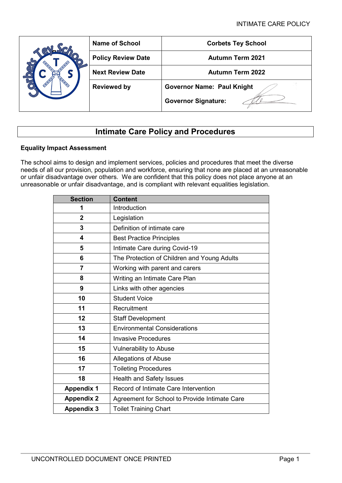| <b>Name of School</b>     | <b>Corbets Tey School</b>         |  |  |  |  |  |  |
|---------------------------|-----------------------------------|--|--|--|--|--|--|
| <b>Policy Review Date</b> | <b>Autumn Term 2021</b>           |  |  |  |  |  |  |
| <b>Next Review Date</b>   | <b>Autumn Term 2022</b>           |  |  |  |  |  |  |
| <b>Reviewed by</b>        | <b>Governor Name: Paul Knight</b> |  |  |  |  |  |  |
|                           | <b>Governor Signature:</b>        |  |  |  |  |  |  |

# **Intimate Care Policy and Procedures**

# **Equality Impact Assessment**

The school aims to design and implement services, policies and procedures that meet the diverse needs of all our provision, population and workforce, ensuring that none are placed at an unreasonable or unfair disadvantage over others. We are confident that this policy does not place anyone at an unreasonable or unfair disadvantage, and is compliant with relevant equalities legislation.

| <b>Section</b>    | <b>Content</b>                                |  |  |  |  |  |  |
|-------------------|-----------------------------------------------|--|--|--|--|--|--|
| 1                 | Introduction                                  |  |  |  |  |  |  |
| $\overline{2}$    | Legislation                                   |  |  |  |  |  |  |
| 3                 | Definition of intimate care                   |  |  |  |  |  |  |
| 4                 | <b>Best Practice Principles</b>               |  |  |  |  |  |  |
| 5                 | Intimate Care during Covid-19                 |  |  |  |  |  |  |
| 6                 | The Protection of Children and Young Adults   |  |  |  |  |  |  |
| 7                 | Working with parent and carers                |  |  |  |  |  |  |
| 8                 | Writing an Intimate Care Plan                 |  |  |  |  |  |  |
| 9                 | Links with other agencies                     |  |  |  |  |  |  |
| 10                | <b>Student Voice</b>                          |  |  |  |  |  |  |
| 11                | Recruitment                                   |  |  |  |  |  |  |
| 12                | <b>Staff Development</b>                      |  |  |  |  |  |  |
| 13                | <b>Environmental Considerations</b>           |  |  |  |  |  |  |
| 14                | <b>Invasive Procedures</b>                    |  |  |  |  |  |  |
| 15                | <b>Vulnerability to Abuse</b>                 |  |  |  |  |  |  |
| 16                | <b>Allegations of Abuse</b>                   |  |  |  |  |  |  |
| 17                | <b>Toileting Procedures</b>                   |  |  |  |  |  |  |
| 18                | <b>Health and Safety Issues</b>               |  |  |  |  |  |  |
| <b>Appendix 1</b> | Record of Intimate Care Intervention          |  |  |  |  |  |  |
| <b>Appendix 2</b> | Agreement for School to Provide Intimate Care |  |  |  |  |  |  |
| <b>Appendix 3</b> | <b>Toilet Training Chart</b>                  |  |  |  |  |  |  |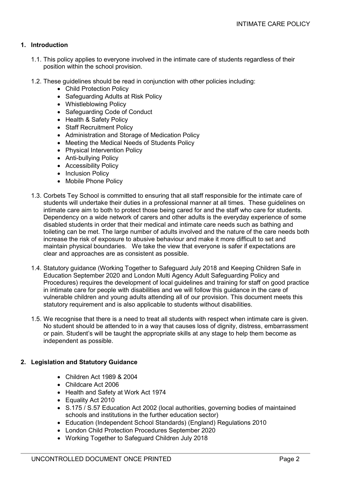# **1. Introduction**

- 1.1. This policy applies to everyone involved in the intimate care of students regardless of their position within the school provision.
- 1.2. These guidelines should be read in conjunction with other policies including:
	- Child Protection Policy
	- Safeguarding Adults at Risk Policy
	- Whistleblowing Policy
	- Safeguarding Code of Conduct
	- Health & Safety Policy
	- Staff Recruitment Policy
	- Administration and Storage of Medication Policy
	- Meeting the Medical Needs of Students Policy
	- Physical Intervention Policy
	- Anti-bullying Policy
	- Accessibility Policy
	- Inclusion Policy
	- Mobile Phone Policy
- 1.3. Corbets Tey School is committed to ensuring that all staff responsible for the intimate care of students will undertake their duties in a professional manner at all times. These guidelines on intimate care aim to both to protect those being cared for and the staff who care for students. Dependency on a wide network of carers and other adults is the everyday experience of some disabled students in order that their medical and intimate care needs such as bathing and toileting can be met. The large number of adults involved and the nature of the care needs both increase the risk of exposure to abusive behaviour and make it more difficult to set and maintain physical boundaries. We take the view that everyone is safer if expectations are clear and approaches are as consistent as possible.
- 1.4. Statutory guidance (Working Together to Safeguard July 2018 and Keeping Children Safe in Education September 2020 and London Multi Agency Adult Safeguarding Policy and Procedures) requires the development of local guidelines and training for staff on good practice in intimate care for people with disabilities and we will follow this guidance in the care of vulnerable children and young adults attending all of our provision. This document meets this statutory requirement and is also applicable to students without disabilities.
- 1.5. We recognise that there is a need to treat all students with respect when intimate care is given. No student should be attended to in a way that causes loss of dignity, distress, embarrassment or pain. Student's will be taught the appropriate skills at any stage to help them become as independent as possible.

#### **2. Legislation and Statutory Guidance**

- Children Act 1989 & 2004
- Childcare Act 2006
- Health and Safety at Work Act 1974
- Equality Act 2010
- S.175 / S.57 Education Act 2002 (local authorities, governing bodies of maintained schools and institutions in the further education sector)
- Education (Independent School Standards) (England) Regulations 2010
- London Child Protection Procedures September 2020
- Working Together to Safeguard Children July 2018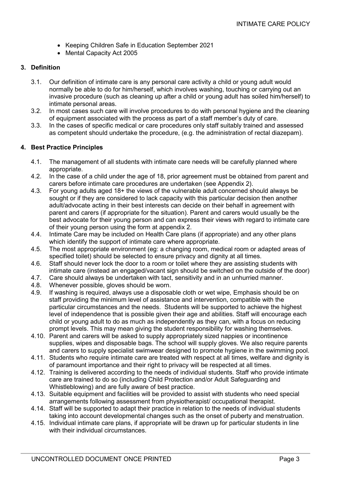- Keeping Children Safe in Education September 2021
- Mental Capacity Act 2005

## **3. Definition**

- 3.1. Our definition of intimate care is any personal care activity a child or young adult would normally be able to do for him/herself, which involves washing, touching or carrying out an invasive procedure (such as cleaning up after a child or young adult has soiled him/herself) to intimate personal areas.
- 3.2. In most cases such care will involve procedures to do with personal hygiene and the cleaning of equipment associated with the process as part of a staff member's duty of care.
- 3.3. In the cases of specific medical or care procedures only staff suitably trained and assessed as competent should undertake the procedure, (e.g. the administration of rectal diazepam).

# **4. Best Practice Principles**

- 4.1. The management of all students with intimate care needs will be carefully planned where appropriate.
- 4.2. In the case of a child under the age of 18, prior agreement must be obtained from parent and carers before intimate care procedures are undertaken (see Appendix 2).
- 4.3. For young adults aged 18+ the views of the vulnerable adult concerned should always be sought or if they are considered to lack capacity with this particular decision then another adult/advocate acting in their best interests can decide on their behalf in agreement with parent and carers (if appropriate for the situation). Parent and carers would usually be the best advocate for their young person and can express their views with regard to intimate care of their young person using the form at appendix 2.
- 4.4. Intimate Care may be included on Health Care plans (if appropriate) and any other plans which identify the support of intimate care where appropriate.
- 4.5. The most appropriate environment (eg: a changing room, medical room or adapted areas of specified toilet) should be selected to ensure privacy and dignity at all times.
- 4.6. Staff should never lock the door to a room or toilet where they are assisting students with intimate care (instead an engaged/vacant sign should be switched on the outside of the door)
- 4.7. Care should always be undertaken with tact, sensitivity and in an unhurried manner.
- 4.8. Whenever possible, gloves should be worn.<br>4.9. If washing is required, always use a disposa
- If washing is required, always use a disposable cloth or wet wipe, Emphasis should be on staff providing the minimum level of assistance and intervention, compatible with the particular circumstances and the needs. Students will be supported to achieve the highest level of independence that is possible given their age and abilities. Staff will encourage each child or young adult to do as much as independently as they can, with a focus on reducing prompt levels. This may mean giving the student responsibility for washing themselves.
- 4.10. Parent and carers will be asked to supply appropriately sized nappies or incontinence supplies, wipes and disposable bags. The school will supply gloves. We also require parents and carers to supply specialist swimwear designed to promote hygiene in the swimming pool.
- 4.11. Students who require intimate care are treated with respect at all times, welfare and dignity is of paramount importance and their right to privacy will be respected at all times.
- 4.12. Training is delivered according to the needs of individual students. Staff who provide intimate care are trained to do so (including Child Protection and/or Adult Safeguarding and Whistleblowing) and are fully aware of best practice.
- 4.13. Suitable equipment and facilities will be provided to assist with students who need special arrangements following assessment from physiotherapist/ occupational therapist.
- 4.14. Staff will be supported to adapt their practice in relation to the needs of individual students taking into account developmental changes such as the onset of puberty and menstruation.
- 4.15. Individual intimate care plans, if appropriate will be drawn up for particular students in line with their individual circumstances.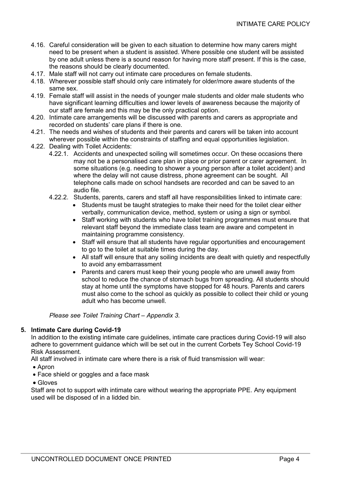- 4.16. Careful consideration will be given to each situation to determine how many carers might need to be present when a student is assisted. Where possible one student will be assisted by one adult unless there is a sound reason for having more staff present. If this is the case, the reasons should be clearly documented.
- 4.17. Male staff will not carry out intimate care procedures on female students.
- 4.18. Wherever possible staff should only care intimately for older/more aware students of the same sex.
- 4.19. Female staff will assist in the needs of younger male students and older male students who have significant learning difficulties and lower levels of awareness because the majority of our staff are female and this may be the only practical option.
- 4.20. Intimate care arrangements will be discussed with parents and carers as appropriate and recorded on students' care plans if there is one.
- 4.21. The needs and wishes of students and their parents and carers will be taken into account wherever possible within the constraints of staffing and equal opportunities legislation.
- 4.22. Dealing with Toilet Accidents:
	- 4.22.1. Accidents and unexpected soiling will sometimes occur. On these occasions there may not be a personalised care plan in place or prior parent or carer agreement. In some situations (e.g. needing to shower a young person after a toilet accident) and where the delay will not cause distress, phone agreement can be sought. All telephone calls made on school handsets are recorded and can be saved to an audio file.
	- 4.22.2. Students, parents, carers and staff all have responsibilities linked to intimate care:
		- Students must be taught strategies to make their need for the toilet clear either verbally, communication device, method, system or using a sign or symbol.
		- Staff working with students who have toilet training programmes must ensure that relevant staff beyond the immediate class team are aware and competent in maintaining programme consistency.
		- Staff will ensure that all students have regular opportunities and encouragement to go to the toilet at suitable times during the day.
		- All staff will ensure that any soiling incidents are dealt with quietly and respectfully to avoid any embarrassment
		- Parents and carers must keep their young people who are unwell away from school to reduce the chance of stomach bugs from spreading. All students should stay at home until the symptoms have stopped for 48 hours. Parents and carers must also come to the school as quickly as possible to collect their child or young adult who has become unwell.

*Please see Toilet Training Chart – Appendix 3.*

### **5. Intimate Care during Covid-19**

In addition to the existing intimate care guidelines, intimate care practices during Covid-19 will also adhere to government guidance which will be set out in the current Corbets Tey School Covid-19 Risk Assessment.

All staff involved in intimate care where there is a risk of fluid transmission will wear:

- Apron
- Face shield or goggles and a face mask
- Gloves

Staff are not to support with intimate care without wearing the appropriate PPE. Any equipment used will be disposed of in a lidded bin.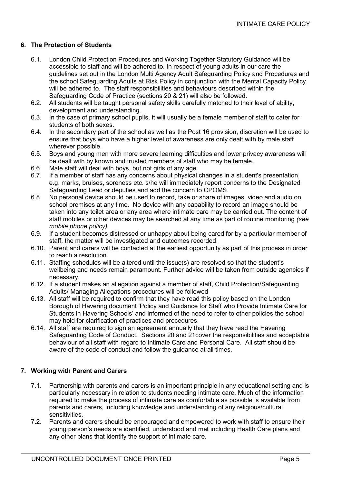# **6. The Protection of Students**

- 6.1. London Child Protection Procedures and Working Together Statutory Guidance will be accessible to staff and will be adhered to. In respect of young adults in our care the guidelines set out in the London Multi Agency Adult Safeguarding Policy and Procedures and the school Safeguarding Adults at Risk Policy in conjunction with the Mental Capacity Policy will be adhered to. The staff responsibilities and behaviours described within the Safeguarding Code of Practice (sections 20 & 21) will also be followed.
- 6.2. All students will be taught personal safety skills carefully matched to their level of ability, development and understanding.
- 6.3. In the case of primary school pupils, it will usually be a female member of staff to cater for students of both sexes.
- 6.4. In the secondary part of the school as well as the Post 16 provision, discretion will be used to ensure that boys who have a higher level of awareness are only dealt with by male staff wherever possible.
- 6.5. Boys and young men with more severe learning difficulties and lower privacy awareness will be dealt with by known and trusted members of staff who may be female.
- 6.6. Male staff will deal with boys, but not girls of any age.
- 6.7. If a member of staff has any concerns about physical changes in a student's presentation, e.g. marks, bruises, soreness etc. s/he will immediately report concerns to the Designated Safeguarding Lead or deputies and add the concern to CPOMS.
- 6.8. No personal device should be used to record, take or share of images, video and audio on school premises at any time. No device with any capability to record an image should be taken into any toilet area or any area where intimate care may be carried out. The content of staff mobiles or other devices may be searched at any time as part of routine monitoring *(see mobile phone policy)*
- 6.9. If a student becomes distressed or unhappy about being cared for by a particular member of staff, the matter will be investigated and outcomes recorded.
- 6.10. Parent and carers will be contacted at the earliest opportunity as part of this process in order to reach a resolution.
- 6.11. Staffing schedules will be altered until the issue(s) are resolved so that the student's wellbeing and needs remain paramount. Further advice will be taken from outside agencies if necessary.
- 6.12. If a student makes an allegation against a member of staff, Child Protection/Safeguarding Adults/ Managing Allegations procedures will be followed
- 6.13. All staff will be required to confirm that they have read this policy based on the London Borough of Havering document 'Policy and Guidance for Staff who Provide Intimate Care for Students in Havering Schools' and informed of the need to refer to other policies the school may hold for clarification of practices and procedures.
- 6.14. All staff are required to sign an agreement annually that they have read the Havering Safeguarding Code of Conduct. Sections 20 and 21cover the responsibilities and acceptable behaviour of all staff with regard to Intimate Care and Personal Care. All staff should be aware of the code of conduct and follow the guidance at all times.

### **7. Working with Parent and Carers**

- 7.1. Partnership with parents and carers is an important principle in any educational setting and is particularly necessary in relation to students needing intimate care. Much of the information required to make the process of intimate care as comfortable as possible is available from parents and carers, including knowledge and understanding of any religious/cultural sensitivities.
- 7.2. Parents and carers should be encouraged and empowered to work with staff to ensure their young person's needs are identified, understood and met including Health Care plans and any other plans that identify the support of intimate care.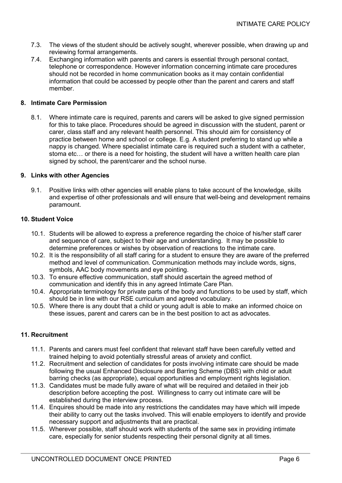- 7.3. The views of the student should be actively sought, wherever possible, when drawing up and reviewing formal arrangements.
- 7.4. Exchanging information with parents and carers is essential through personal contact, telephone or correspondence. However information concerning intimate care procedures should not be recorded in home communication books as it may contain confidential information that could be accessed by people other than the parent and carers and staff member.

### **8. Intimate Care Permission**

8.1. Where intimate care is required, parents and carers will be asked to give signed permission for this to take place. Procedures should be agreed in discussion with the student, parent or carer, class staff and any relevant health personnel. This should aim for consistency of practice between home and school or college. E.g. A student preferring to stand up while a nappy is changed. Where specialist intimate care is required such a student with a catheter, stoma etc… or there is a need for hoisting, the student will have a written health care plan signed by school, the parent/carer and the school nurse.

### **9. Links with other Agencies**

9.1. Positive links with other agencies will enable plans to take account of the knowledge, skills and expertise of other professionals and will ensure that well-being and development remains paramount.

### **10. Student Voice**

- 10.1. Students will be allowed to express a preference regarding the choice of his/her staff carer and sequence of care, subject to their age and understanding. It may be possible to determine preferences or wishes by observation of reactions to the intimate care.
- 10.2. It is the responsibility of all staff caring for a student to ensure they are aware of the preferred method and level of communication. Communication methods may include words, signs, symbols, AAC body movements and eve pointing.
- 10.3. To ensure effective communication, staff should ascertain the agreed method of communication and identify this in any agreed Intimate Care Plan.
- 10.4. Appropriate terminology for private parts of the body and functions to be used by staff, which should be in line with our RSE curriculum and agreed vocabulary.
- 10.5. Where there is any doubt that a child or young adult is able to make an informed choice on these issues, parent and carers can be in the best position to act as advocates.

### **11. Recruitment**

- 11.1. Parents and carers must feel confident that relevant staff have been carefully vetted and trained helping to avoid potentially stressful areas of anxiety and conflict.
- 11.2. Recruitment and selection of candidates for posts involving intimate care should be made following the usual Enhanced Disclosure and Barring Scheme (DBS) with child or adult barring checks (as appropriate), equal opportunities and employment rights legislation.
- 11.3. Candidates must be made fully aware of what will be required and detailed in their job description before accepting the post. Willingness to carry out intimate care will be established during the interview process.
- 11.4. Enquires should be made into any restrictions the candidates may have which will impede their ability to carry out the tasks involved. This will enable employers to identify and provide necessary support and adjustments that are practical.
- 11.5. Wherever possible, staff should work with students of the same sex in providing intimate care, especially for senior students respecting their personal dignity at all times.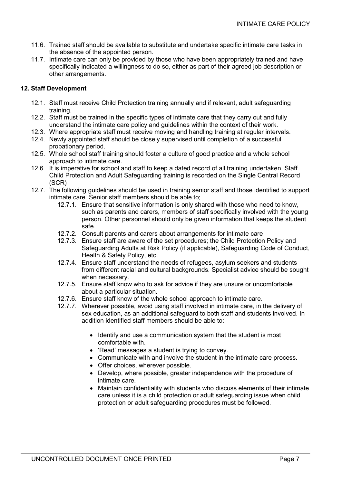- 11.6. Trained staff should be available to substitute and undertake specific intimate care tasks in the absence of the appointed person.
- 11.7. Intimate care can only be provided by those who have been appropriately trained and have specifically indicated a willingness to do so, either as part of their agreed job description or other arrangements.

# **12. Staff Development**

- 12.1. Staff must receive Child Protection training annually and if relevant, adult safeguarding training.
- 12.2. Staff must be trained in the specific types of intimate care that they carry out and fully understand the intimate care policy and guidelines within the context of their work.
- 12.3. Where appropriate staff must receive moving and handling training at regular intervals.
- 12.4. Newly appointed staff should be closely supervised until completion of a successful probationary period.
- 12.5. Whole school staff training should foster a culture of good practice and a whole school approach to intimate care.
- 12.6. It is imperative for school and staff to keep a dated record of all training undertaken. Staff Child Protection and Adult Safeguarding training is recorded on the Single Central Record (SCR)
- 12.7. The following guidelines should be used in training senior staff and those identified to support intimate care. Senior staff members should be able to;
	- 12.7.1. Ensure that sensitive information is only shared with those who need to know, such as parents and carers, members of staff specifically involved with the young person. Other personnel should only be given information that keeps the student safe.
	- 12.7.2. Consult parents and carers about arrangements for intimate care
	- 12.7.3. Ensure staff are aware of the set procedures; the Child Protection Policy and Safeguarding Adults at Risk Policy (if applicable), Safeguarding Code of Conduct, Health & Safety Policy, etc.
	- 12.7.4. Ensure staff understand the needs of refugees, asylum seekers and students from different racial and cultural backgrounds. Specialist advice should be sought when necessary.
	- 12.7.5. Ensure staff know who to ask for advice if they are unsure or uncomfortable about a particular situation.
	- 12.7.6. Ensure staff know of the whole school approach to intimate care.
	- 12.7.7. Wherever possible, avoid using staff involved in intimate care, in the delivery of sex education, as an additional safeguard to both staff and students involved. In addition identified staff members should be able to:
		- Identify and use a communication system that the student is most comfortable with.
		- 'Read' messages a student is trying to convey.
		- Communicate with and involve the student in the intimate care process.
		- Offer choices, wherever possible.
		- Develop, where possible, greater independence with the procedure of intimate care.
		- Maintain confidentiality with students who discuss elements of their intimate care unless it is a child protection or adult safeguarding issue when child protection or adult safeguarding procedures must be followed.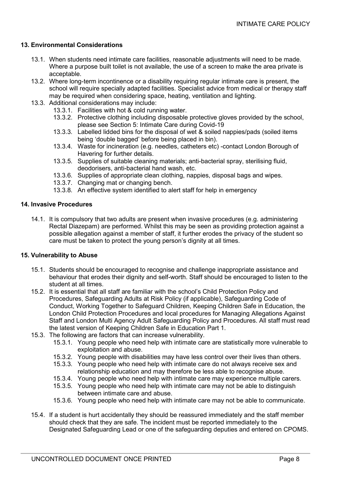#### **13. Environmental Considerations**

- 13.1. When students need intimate care facilities, reasonable adjustments will need to be made. Where a purpose built toilet is not available, the use of a screen to make the area private is acceptable.
- 13.2. Where long-term incontinence or a disability requiring regular intimate care is present, the school will require specially adapted facilities. Specialist advice from medical or therapy staff may be required when considering space, heating, ventilation and lighting.
- 13.3. Additional considerations may include:
	- 13.3.1. Facilities with hot & cold running water.
	- 13.3.2. Protective clothing including disposable protective gloves provided by the school, please see Section 5: Intimate Care during Covid-19
	- 13.3.3. Labelled lidded bins for the disposal of wet & soiled nappies/pads (soiled items being 'double bagged' before being placed in bin).
	- 13.3.4. Waste for incineration (e.g. needles, catheters etc) -contact London Borough of Havering for further details.
	- 13.3.5. Supplies of suitable cleaning materials; anti-bacterial spray, sterilising fluid, deodorisers, anti-bacterial hand wash, etc.
	- 13.3.6. Supplies of appropriate clean clothing, nappies, disposal bags and wipes.
	- 13.3.7. Changing mat or changing bench.
	- 13.3.8. An effective system identified to alert staff for help in emergency

#### **14. Invasive Procedures**

14.1. It is compulsory that two adults are present when invasive procedures (e.g. administering Rectal Diazepam) are performed. Whilst this may be seen as providing protection against a possible allegation against a member of staff, it further erodes the privacy of the student so care must be taken to protect the young person's dignity at all times.

#### **15. Vulnerability to Abuse**

- 15.1. Students should be encouraged to recognise and challenge inappropriate assistance and behaviour that erodes their dignity and self-worth. Staff should be encouraged to listen to the student at all times.
- 15.2. It is essential that all staff are familiar with the school's Child Protection Policy and Procedures, Safeguarding Adults at Risk Policy (if applicable), Safeguarding Code of Conduct, Working Together to Safeguard Children, Keeping Children Safe in Education, the London Child Protection Procedures and local procedures for Managing Allegations Against Staff and London Multi Agency Adult Safeguarding Policy and Procedures. All staff must read the latest version of Keeping Children Safe in Education Part 1.
- 15.3. The following are factors that can increase vulnerability.
	- 15.3.1. Young people who need help with intimate care are statistically more vulnerable to exploitation and abuse.
	- 15.3.2. Young people with disabilities may have less control over their lives than others.
	- 15.3.3. Young people who need help with intimate care do not always receive sex and relationship education and may therefore be less able to recognise abuse.
	- 15.3.4. Young people who need help with intimate care may experience multiple carers.
	- 15.3.5. Young people who need help with intimate care may not be able to distinguish between intimate care and abuse.
	- 15.3.6. Young people who need help with intimate care may not be able to communicate.
- 15.4. If a student is hurt accidentally they should be reassured immediately and the staff member should check that they are safe. The incident must be reported immediately to the Designated Safeguarding Lead or one of the safeguarding deputies and entered on CPOMS.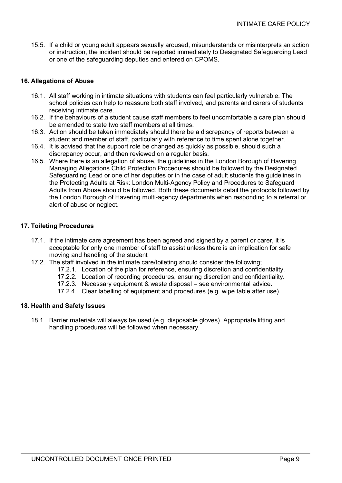15.5. If a child or young adult appears sexually aroused, misunderstands or misinterprets an action or instruction, the incident should be reported immediately to Designated Safeguarding Lead or one of the safeguarding deputies and entered on CPOMS.

## **16. Allegations of Abuse**

- 16.1. All staff working in intimate situations with students can feel particularly vulnerable. The school policies can help to reassure both staff involved, and parents and carers of students receiving intimate care.
- 16.2. If the behaviours of a student cause staff members to feel uncomfortable a care plan should be amended to state two staff members at all times.
- 16.3. Action should be taken immediately should there be a discrepancy of reports between a student and member of staff, particularly with reference to time spent alone together.
- 16.4. It is advised that the support role be changed as quickly as possible, should such a discrepancy occur, and then reviewed on a regular basis.
- 16.5. Where there is an allegation of abuse, the guidelines in the London Borough of Havering Managing Allegations Child Protection Procedures should be followed by the Designated Safeguarding Lead or one of her deputies or in the case of adult students the guidelines in the Protecting Adults at Risk: London Multi-Agency Policy and Procedures to Safeguard Adults from Abuse should be followed. Both these documents detail the protocols followed by the London Borough of Havering multi-agency departments when responding to a referral or alert of abuse or neglect.

# **17. Toileting Procedures**

- 17.1. If the intimate care agreement has been agreed and signed by a parent or carer, it is acceptable for only one member of staff to assist unless there is an implication for safe moving and handling of the student
- 17.2. The staff involved in the intimate care/toileting should consider the following;
	- 17.2.1. Location of the plan for reference, ensuring discretion and confidentiality.
	- 17.2.2. Location of recording procedures, ensuring discretion and confidentiality.
	- 17.2.3. Necessary equipment & waste disposal see environmental advice.
	- 17.2.4. Clear labelling of equipment and procedures (e.g. wipe table after use).

### **18. Health and Safety Issues**

18.1. Barrier materials will always be used (e.g. disposable gloves). Appropriate lifting and handling procedures will be followed when necessary.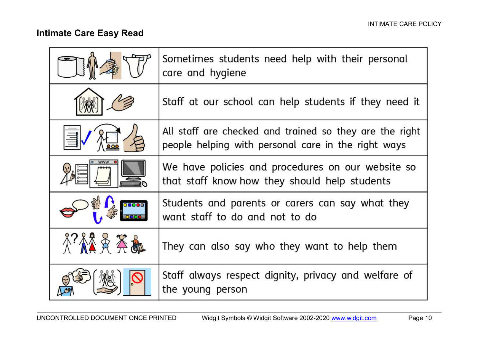# **Intimate Care Easy Read**

|       | Sometimes students need help with their personal<br>care and hygiene                                           |
|-------|----------------------------------------------------------------------------------------------------------------|
|       | Staff at our school can help students if they need it                                                          |
|       | All staff are checked and trained so they are the right<br>people helping with personal care in the right ways |
|       | We have policies and procedures on our website so<br>that staff know how they should help students             |
| 00000 | Students and parents or carers can say what they<br>want staff to do and not to do                             |
|       | They can also say who they want to help them                                                                   |
|       | Staff always respect dignity, privacy and welfare of<br>the young person                                       |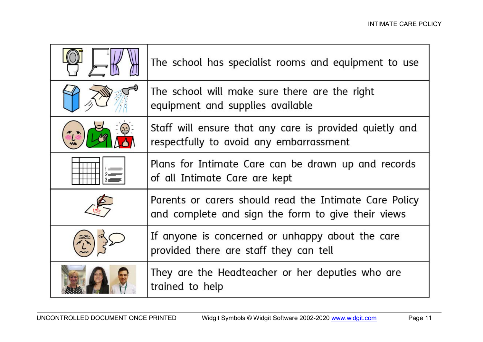| The school has specialist rooms and equipment to use                                                         |
|--------------------------------------------------------------------------------------------------------------|
| The school will make sure there are the right<br>equipment and supplies available                            |
| Staff will ensure that any care is provided quietly and<br>respectfully to avoid any embarrassment           |
| Plans for Intimate Care can be drawn up and records<br>of all Intimate Care are kept                         |
| Parents or carers should read the Intimate Care Policy<br>and complete and sign the form to give their views |
| If anyone is concerned or unhappy about the care<br>provided there are staff they can tell                   |
| They are the Headteacher or her deputies who are<br>trained to help                                          |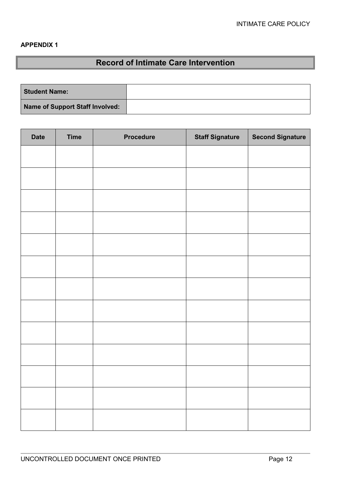# **APPENDIX 1**

# **Record of Intimate Care Intervention**

| <b>Student Name:</b>            |  |
|---------------------------------|--|
| Name of Support Staff Involved: |  |

| <b>Date</b> | <b>Time</b> | <b>Procedure</b> | <b>Staff Signature</b> | <b>Second Signature</b> |
|-------------|-------------|------------------|------------------------|-------------------------|
|             |             |                  |                        |                         |
|             |             |                  |                        |                         |
|             |             |                  |                        |                         |
|             |             |                  |                        |                         |
|             |             |                  |                        |                         |
|             |             |                  |                        |                         |
|             |             |                  |                        |                         |
|             |             |                  |                        |                         |
|             |             |                  |                        |                         |
|             |             |                  |                        |                         |
|             |             |                  |                        |                         |
|             |             |                  |                        |                         |
|             |             |                  |                        |                         |
|             |             |                  |                        |                         |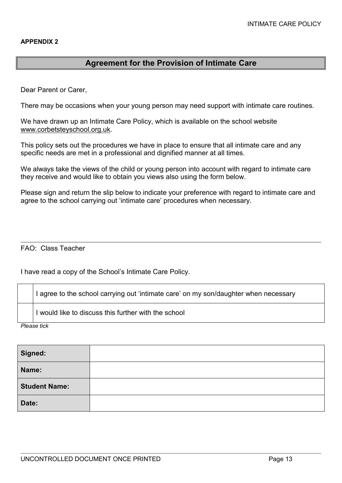# **Agreement for the Provision of Intimate Care**

Dear Parent or Carer,

There may be occasions when your young person may need support with intimate care routines.

We have drawn up an Intimate Care Policy, which is available on the school website [www.corbetsteyschool.org.uk.](http://www.corbetsteyschool.org.uk/)

This policy sets out the procedures we have in place to ensure that all intimate care and any specific needs are met in a professional and dignified manner at all times.

We always take the views of the child or young person into account with regard to intimate care they receive and would like to obtain you views also using the form below.

Please sign and return the slip below to indicate your preference with regard to intimate care and agree to the school carrying out 'intimate care' procedures when necessary.

FAO: Class Teacher

I have read a copy of the School's Intimate Care Policy.

I agree to the school carrying out 'intimate care' on my son/daughter when necessary

I would like to discuss this further with the school

*Please tick*

| Signed:              |  |
|----------------------|--|
| Name:                |  |
| <b>Student Name:</b> |  |
| Date:                |  |